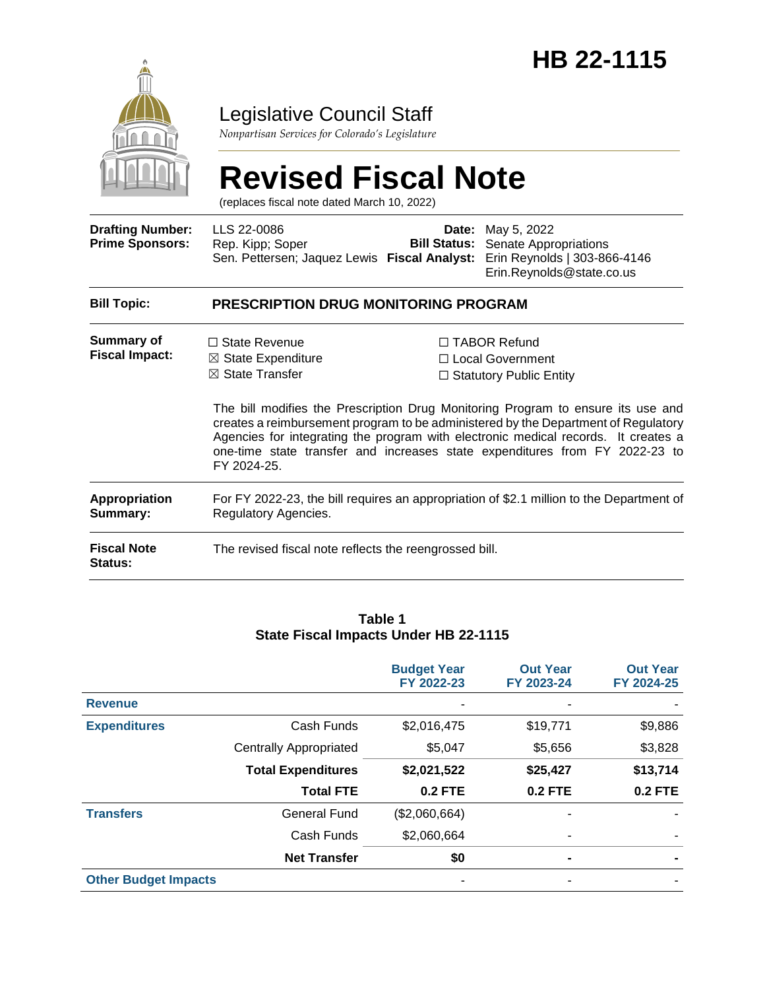

## Legislative Council Staff

*Nonpartisan Services for Colorado's Legislature*

# **Revised Fiscal Note**

(replaces fiscal note dated March 10, 2022)

| <b>Drafting Number:</b><br><b>Prime Sponsors:</b> | LLS 22-0086<br>Rep. Kipp; Soper<br>Sen. Pettersen; Jaquez Lewis Fiscal Analyst:                                  | Date: | May 5, 2022<br><b>Bill Status:</b> Senate Appropriations<br>Erin Reynolds   303-866-4146<br>Erin.Reynolds@state.co.us                                                                                                                                                                                                                                                                                                      |  |  |  |
|---------------------------------------------------|------------------------------------------------------------------------------------------------------------------|-------|----------------------------------------------------------------------------------------------------------------------------------------------------------------------------------------------------------------------------------------------------------------------------------------------------------------------------------------------------------------------------------------------------------------------------|--|--|--|
| <b>Bill Topic:</b>                                | <b>PRESCRIPTION DRUG MONITORING PROGRAM</b>                                                                      |       |                                                                                                                                                                                                                                                                                                                                                                                                                            |  |  |  |
| Summary of<br><b>Fiscal Impact:</b>               | $\Box$ State Revenue<br>$\boxtimes$ State Expenditure<br>⊠ State Transfer<br>FY 2024-25.                         |       | $\Box$ TABOR Refund<br>□ Local Government<br>$\Box$ Statutory Public Entity<br>The bill modifies the Prescription Drug Monitoring Program to ensure its use and<br>creates a reimbursement program to be administered by the Department of Regulatory<br>Agencies for integrating the program with electronic medical records. It creates a<br>one-time state transfer and increases state expenditures from FY 2022-23 to |  |  |  |
| Appropriation<br>Summary:                         | For FY 2022-23, the bill requires an appropriation of \$2.1 million to the Department of<br>Regulatory Agencies. |       |                                                                                                                                                                                                                                                                                                                                                                                                                            |  |  |  |
| <b>Fiscal Note</b><br>Status:                     | The revised fiscal note reflects the reengrossed bill.                                                           |       |                                                                                                                                                                                                                                                                                                                                                                                                                            |  |  |  |

#### **Table 1 State Fiscal Impacts Under HB 22-1115**

|                             |                               | <b>Budget Year</b><br>FY 2022-23 | <b>Out Year</b><br>FY 2023-24 | <b>Out Year</b><br>FY 2024-25 |
|-----------------------------|-------------------------------|----------------------------------|-------------------------------|-------------------------------|
| <b>Revenue</b>              |                               |                                  |                               |                               |
| <b>Expenditures</b>         | Cash Funds                    | \$2,016,475                      | \$19,771                      | \$9,886                       |
|                             | <b>Centrally Appropriated</b> | \$5,047                          | \$5,656                       | \$3,828                       |
|                             | <b>Total Expenditures</b>     | \$2,021,522                      | \$25,427                      | \$13,714                      |
|                             | <b>Total FTE</b>              | <b>0.2 FTE</b>                   | <b>0.2 FTE</b>                | <b>0.2 FTE</b>                |
| <b>Transfers</b>            | <b>General Fund</b>           | (\$2,060,664)                    | $\blacksquare$                |                               |
|                             | Cash Funds                    | \$2,060,664                      | -                             |                               |
|                             | <b>Net Transfer</b>           | \$0                              | ۰                             |                               |
| <b>Other Budget Impacts</b> |                               |                                  |                               |                               |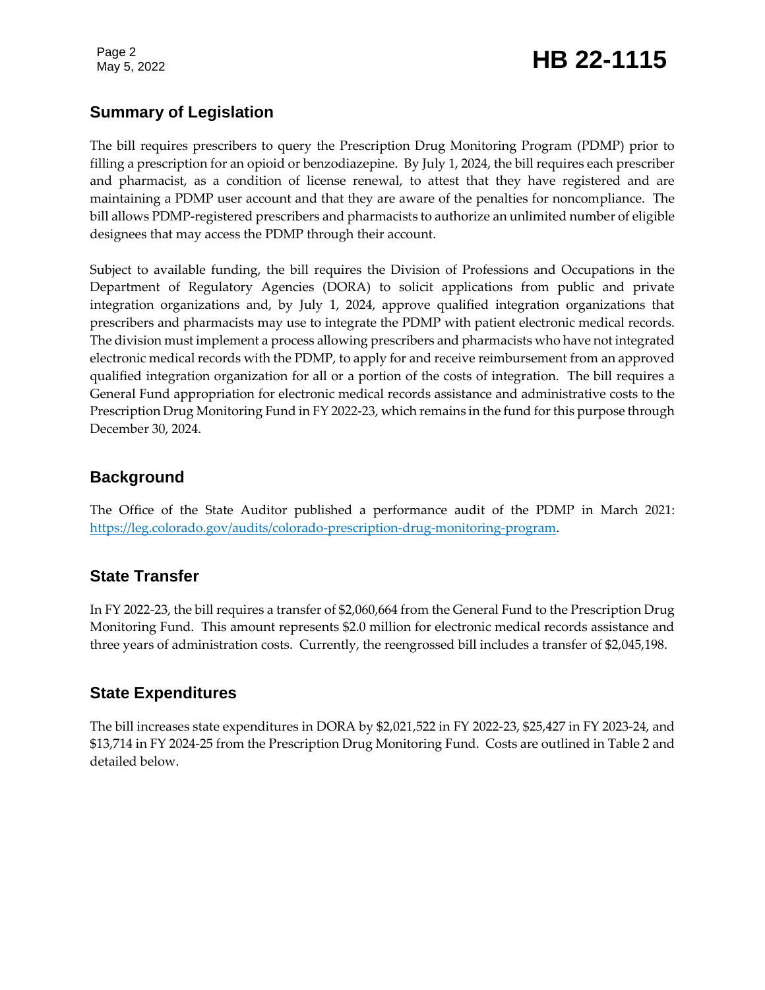Page 2

# May 5, 2022 **HB 22-1115**

## **Summary of Legislation**

The bill requires prescribers to query the Prescription Drug Monitoring Program (PDMP) prior to filling a prescription for an opioid or benzodiazepine. By July 1, 2024, the bill requires each prescriber and pharmacist, as a condition of license renewal, to attest that they have registered and are maintaining a PDMP user account and that they are aware of the penalties for noncompliance. The bill allows PDMP-registered prescribers and pharmacists to authorize an unlimited number of eligible designees that may access the PDMP through their account.

Subject to available funding, the bill requires the Division of Professions and Occupations in the Department of Regulatory Agencies (DORA) to solicit applications from public and private integration organizations and, by July 1, 2024, approve qualified integration organizations that prescribers and pharmacists may use to integrate the PDMP with patient electronic medical records. The division must implement a process allowing prescribers and pharmacists who have not integrated electronic medical records with the PDMP, to apply for and receive reimbursement from an approved qualified integration organization for all or a portion of the costs of integration. The bill requires a General Fund appropriation for electronic medical records assistance and administrative costs to the Prescription Drug Monitoring Fund in FY 2022-23, which remains in the fund for this purpose through December 30, 2024.

### **Background**

The Office of the State Auditor published a performance audit of the PDMP in March 2021: [https://leg.colorado.gov/audits/colorado-prescription-drug-monitoring-program.](https://leg.colorado.gov/audits/colorado-prescription-drug-monitoring-program)

### **State Transfer**

In FY 2022-23, the bill requires a transfer of \$2,060,664 from the General Fund to the Prescription Drug Monitoring Fund. This amount represents \$2.0 million for electronic medical records assistance and three years of administration costs. Currently, the reengrossed bill includes a transfer of \$2,045,198.

### **State Expenditures**

The bill increases state expenditures in DORA by \$2,021,522 in FY 2022-23, \$25,427 in FY 2023-24, and \$13,714 in FY 2024-25 from the Prescription Drug Monitoring Fund. Costs are outlined in Table 2 and detailed below.